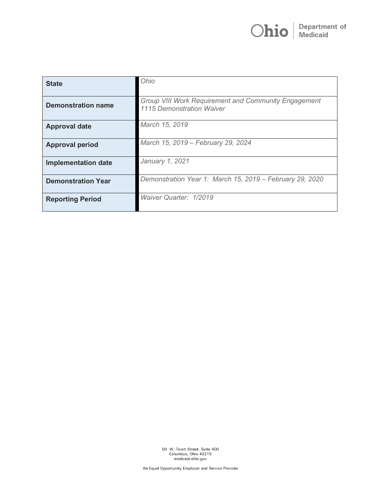| <b>State</b>               | Ohio                                                                              |
|----------------------------|-----------------------------------------------------------------------------------|
| <b>Demonstration name</b>  | Group VIII Work Requirement and Community Engagement<br>1115 Demonstration Waiver |
| <b>Approval date</b>       | March 15, 2019                                                                    |
| <b>Approval period</b>     | March 15, 2019 - February 29, 2024                                                |
| <b>Implementation date</b> | January 1, 2021                                                                   |
| <b>Demonstration Year</b>  | Demonstration Year 1: March 15, 2019 - February 29, 2020                          |
| <b>Reporting Period</b>    | Waiver Quarter: 1/2019                                                            |

50 W. Town Street, Suite 400<br>Columbus, Ohio 43215<br>medicaid.ohio.gov

An Equal Opportunity Employer and Service Provider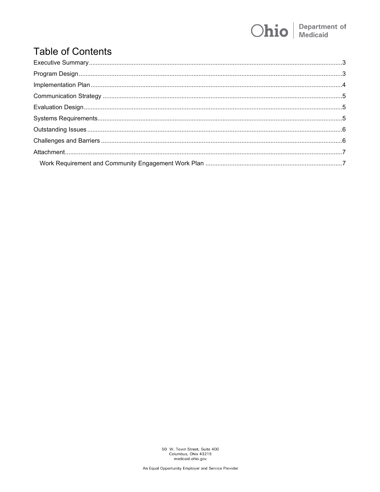## **Department of**<br>Medicaid Ohio

# **Table of Contents**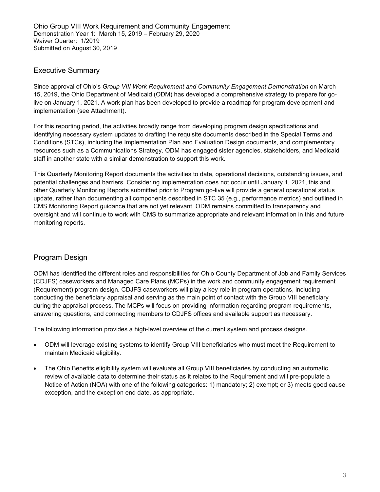### <span id="page-2-0"></span>Executive Summary

Since approval of Ohio's *Group VIII Work Requirement and Community Engagement Demonstration* on March 15, 2019, the Ohio Department of Medicaid (ODM) has developed a comprehensive strategy to prepare for golive on January 1, 2021. A work plan has been developed to provide a roadmap for program development and implementation (see Attachment).

For this reporting period, the activities broadly range from developing program design specifications and identifying necessary system updates to drafting the requisite documents described in the Special Terms and Conditions (STCs), including the Implementation Plan and Evaluation Design documents, and complementary resources such as a Communications Strategy. ODM has engaged sister agencies, stakeholders, and Medicaid staff in another state with a similar demonstration to support this work.

This Quarterly Monitoring Report documents the activities to date, operational decisions, outstanding issues, and potential challenges and barriers. Considering implementation does not occur until January 1, 2021, this and other Quarterly Monitoring Reports submitted prior to Program go-live will provide a general operational status update, rather than documenting all components described in STC 35 (e.g., performance metrics) and outlined in CMS Monitoring Report guidance that are not yet relevant. ODM remains committed to transparency and oversight and will continue to work with CMS to summarize appropriate and relevant information in this and future monitoring reports.

## <span id="page-2-1"></span>Program Design

ODM has identified the different roles and responsibilities for Ohio County Department of Job and Family Services (CDJFS) caseworkers and Managed Care Plans (MCPs) in the work and community engagement requirement (Requirement) program design. CDJFS caseworkers will play a key role in program operations, including conducting the beneficiary appraisal and serving as the main point of contact with the Group VIII beneficiary during the appraisal process. The MCPs will focus on providing information regarding program requirements, answering questions, and connecting members to CDJFS offices and available support as necessary.

The following information provides a high-level overview of the current system and process designs.

- ODM will leverage existing systems to identify Group VIII beneficiaries who must meet the Requirement to maintain Medicaid eligibility.
- The Ohio Benefits eligibility system will evaluate all Group VIII beneficiaries by conducting an automatic review of available data to determine their status as it relates to the Requirement and will pre-populate a Notice of Action (NOA) with one of the following categories: 1) mandatory; 2) exempt; or 3) meets good cause exception, and the exception end date, as appropriate.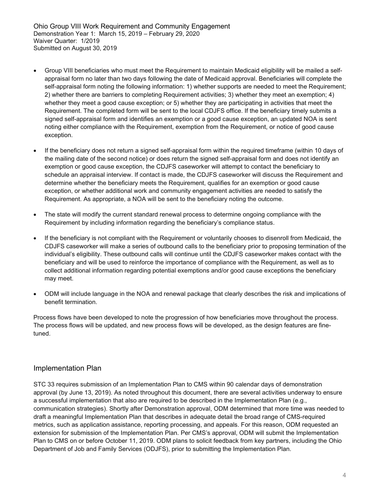- Group VIII beneficiaries who must meet the Requirement to maintain Medicaid eligibility will be mailed a selfappraisal form no later than two days following the date of Medicaid approval. Beneficiaries will complete the self-appraisal form noting the following information: 1) whether supports are needed to meet the Requirement; 2) whether there are barriers to completing Requirement activities; 3) whether they meet an exemption; 4) whether they meet a good cause exception; or 5) whether they are participating in activities that meet the Requirement. The completed form will be sent to the local CDJFS office. If the beneficiary timely submits a signed self-appraisal form and identifies an exemption or a good cause exception, an updated NOA is sent noting either compliance with the Requirement, exemption from the Requirement, or notice of good cause exception.
- If the beneficiary does not return a signed self-appraisal form within the required timeframe (within 10 days of the mailing date of the second notice) or does return the signed self-appraisal form and does not identify an exemption or good cause exception, the CDJFS caseworker will attempt to contact the beneficiary to schedule an appraisal interview. If contact is made, the CDJFS caseworker will discuss the Requirement and determine whether the beneficiary meets the Requirement, qualifies for an exemption or good cause exception, or whether additional work and community engagement activities are needed to satisfy the Requirement. As appropriate, a NOA will be sent to the beneficiary noting the outcome.
- The state will modify the current standard renewal process to determine ongoing compliance with the Requirement by including information regarding the beneficiary's compliance status.
- If the beneficiary is not compliant with the Requirement or voluntarily chooses to disenroll from Medicaid, the CDJFS caseworker will make a series of outbound calls to the beneficiary prior to proposing termination of the individual's eligibility. These outbound calls will continue until the CDJFS caseworker makes contact with the beneficiary and will be used to reinforce the importance of compliance with the Requirement, as well as to collect additional information regarding potential exemptions and/or good cause exceptions the beneficiary may meet.
- ODM will include language in the NOA and renewal package that clearly describes the risk and implications of benefit termination.

Process flows have been developed to note the progression of how beneficiaries move throughout the process. The process flows will be updated, and new process flows will be developed, as the design features are finetuned.

### <span id="page-3-0"></span>Implementation Plan

STC 33 requires submission of an Implementation Plan to CMS within 90 calendar days of demonstration approval (by June 13, 2019). As noted throughout this document, there are several activities underway to ensure a successful implementation that also are required to be described in the Implementation Plan (e.g., communication strategies). Shortly after Demonstration approval, ODM determined that more time was needed to draft a meaningful Implementation Plan that describes in adequate detail the broad range of CMS-required metrics, such as application assistance, reporting processing, and appeals. For this reason, ODM requested an extension for submission of the Implementation Plan. Per CMS's approval, ODM will submit the Implementation Plan to CMS on or before October 11, 2019. ODM plans to solicit feedback from key partners, including the Ohio Department of Job and Family Services (ODJFS), prior to submitting the Implementation Plan.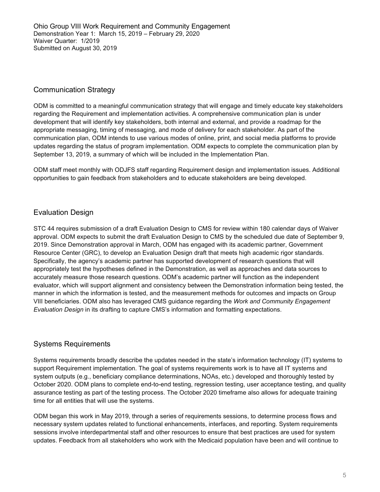## <span id="page-4-0"></span>Communication Strategy

ODM is committed to a meaningful communication strategy that will engage and timely educate key stakeholders regarding the Requirement and implementation activities. A comprehensive communication plan is under development that will identify key stakeholders, both internal and external, and provide a roadmap for the appropriate messaging, timing of messaging, and mode of delivery for each stakeholder. As part of the communication plan, ODM intends to use various modes of online, print, and social media platforms to provide updates regarding the status of program implementation. ODM expects to complete the communication plan by September 13, 2019, a summary of which will be included in the Implementation Plan.

ODM staff meet monthly with ODJFS staff regarding Requirement design and implementation issues. Additional opportunities to gain feedback from stakeholders and to educate stakeholders are being developed.

## <span id="page-4-1"></span>Evaluation Design

STC 44 requires submission of a draft Evaluation Design to CMS for review within 180 calendar days of Waiver approval. ODM expects to submit the draft Evaluation Design to CMS by the scheduled due date of September 9, 2019. Since Demonstration approval in March, ODM has engaged with its academic partner, Government Resource Center (GRC), to develop an Evaluation Design draft that meets high academic rigor standards. Specifically, the agency's academic partner has supported development of research questions that will appropriately test the hypotheses defined in the Demonstration, as well as approaches and data sources to accurately measure those research questions. ODM's academic partner will function as the independent evaluator, which will support alignment and consistency between the Demonstration information being tested, the manner in which the information is tested, and the measurement methods for outcomes and impacts on Group VIII beneficiaries. ODM also has leveraged CMS guidance regarding the *Work and Community Engagement Evaluation Design* in its drafting to capture CMS's information and formatting expectations.

### <span id="page-4-2"></span>Systems Requirements

Systems requirements broadly describe the updates needed in the state's information technology (IT) systems to support Requirement implementation. The goal of systems requirements work is to have all IT systems and system outputs (e.g., beneficiary compliance determinations, NOAs, etc.) developed and thoroughly tested by October 2020. ODM plans to complete end-to-end testing, regression testing, user acceptance testing, and quality assurance testing as part of the testing process. The October 2020 timeframe also allows for adequate training time for all entities that will use the systems.

ODM began this work in May 2019, through a series of requirements sessions, to determine process flows and necessary system updates related to functional enhancements, interfaces, and reporting. System requirements sessions involve interdepartmental staff and other resources to ensure that best practices are used for system updates. Feedback from all stakeholders who work with the Medicaid population have been and will continue to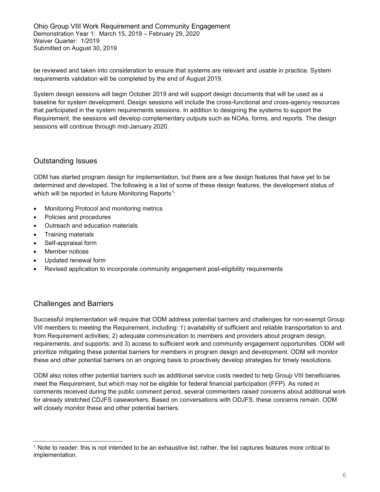be reviewed and taken into consideration to ensure that systems are relevant and usable in practice. System requirements validation will be completed by the end of August 2019.

System design sessions will begin October 2019 and will support design documents that will be used as a baseline for system development. Design sessions will include the cross-functional and cross-agency resources that participated in the system requirements sessions. In addition to designing the systems to support the Requirement, the sessions will develop complementary outputs such as NOAs, forms, and reports. The design sessions will continue through mid-January 2020.

## <span id="page-5-0"></span>Outstanding Issues

ODM has started program design for implementation, but there are a few design features that have yet to be determined and developed. The following is a list of some of these design features, the development status of which will be reported in future Monitoring Reports<sup>[1](#page-5-2)</sup>:

- Monitoring Protocol and monitoring metrics
- Policies and procedures
- Outreach and education materials
- Training materials
- Self-appraisal form
- Member notices
- Updated renewal form
- Revised application to incorporate community engagement post-eligibility requirements

### <span id="page-5-1"></span>Challenges and Barriers

Successful implementation will require that ODM address potential barriers and challenges for non-exempt Group VIII members to meeting the Requirement, including: 1) availability of sufficient and reliable transportation to and from Requirement activities; 2) adequate communication to members and providers about program design, requirements, and supports; and 3) access to sufficient work and community engagement opportunities. ODM will prioritize mitigating these potential barriers for members in program design and development. ODM will monitor these and other potential barriers on an ongoing basis to proactively develop strategies for timely resolutions.

ODM also notes other potential barriers such as additional service costs needed to help Group VIII beneficiaries meet the Requirement, but which may not be eligible for federal financial participation (FFP). As noted in comments received during the public comment period, several commenters raised concerns about additional work for already stretched CDJFS caseworkers. Based on conversations with ODJFS, these concerns remain. ODM will closely monitor these and other potential barriers.

<span id="page-5-2"></span><sup>1</sup> Note to reader: this is not intended to be an exhaustive list; rather, the list captures features more critical to implementation.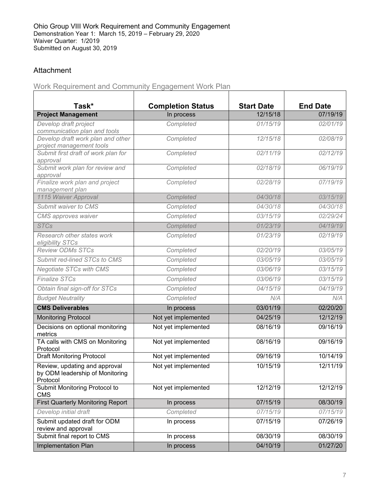## <span id="page-6-0"></span>Attachment

<span id="page-6-1"></span>Work Requirement and Community Engagement Work Plan

| Task*                                                                        | <b>Completion Status</b> | <b>Start Date</b> | <b>End Date</b>    |
|------------------------------------------------------------------------------|--------------------------|-------------------|--------------------|
| <b>Project Management</b>                                                    | In process               | 12/15/18          | 07/19/19           |
| Develop draft project                                                        | Completed                | 01/15/19          | 02/01/19           |
| communication plan and tools<br>Develop draft work plan and other            | Completed                | 12/15/18          | 02/08/19           |
| project management tools                                                     |                          |                   |                    |
| Submit first draft of work plan for<br>approval                              | Completed                | 02/11/19          | 02/12/19           |
| Submit work plan for review and<br>approval                                  | Completed                | 02/18/19          | 06/19/19           |
| Finalize work plan and project<br>management plan                            | Completed                | 02/28/19          | 07/19/19           |
| 1115 Waiver Approval                                                         | Completed                | 04/30/18          | 03/15/19           |
| Submit waiver to CMS                                                         | Completed                | 04/30/18          | 04/30/18           |
| CMS approves waiver                                                          | Completed                | 03/15/19          | 02/29/24           |
| <b>STCs</b>                                                                  | Completed                | 01/23/19          | 04/19/19           |
| Research other states work<br>eligibility STCs                               | Completed                | 01/23/19          | 02/19/19           |
| <b>Review ODMs STCs</b>                                                      | Completed                | 02/20/19          | 03/05/19           |
| Submit red-lined STCs to CMS                                                 | Completed                | 03/05/19          | 03/05/19           |
| <b>Negotiate STCs with CMS</b>                                               | Completed                | 03/06/19          | 03/15/19           |
| <b>Finalize STCs</b>                                                         | Completed                | 03/06/19          | 03/15/19           |
| Obtain final sign-off for STCs                                               | Completed                | 04/15/19          | $\frac{04}{19}$ 19 |
| <b>Budget Neutrality</b>                                                     | Completed                | N/A               | N/A                |
| <b>CMS Deliverables</b>                                                      | In process               | 03/01/19          | 02/20/20           |
| <b>Monitoring Protocol</b>                                                   | Not yet implemented      | 04/25/19          | 12/12/19           |
| Decisions on optional monitoring<br>metrics                                  | Not yet implemented      | 08/16/19          | 09/16/19           |
| TA calls with CMS on Monitoring<br>Protocol                                  | Not yet implemented      | 08/16/19          | 09/16/19           |
| <b>Draft Monitoring Protocol</b>                                             | Not yet implemented      | 09/16/19          | 10/14/19           |
| Review, updating and approval<br>by ODM leadership of Monitoring<br>Protocol | Not yet implemented      | 10/15/19          | 12/11/19           |
| Submit Monitoring Protocol to<br><b>CMS</b>                                  | Not yet implemented      | 12/12/19          | 12/12/19           |
| <b>First Quarterly Monitoring Report</b>                                     | In process               | 07/15/19          | 08/30/19           |
| Develop initial draft                                                        | Completed                | 07/15/19          | 07/15/19           |
| Submit updated draft for ODM<br>review and approval                          | In process               | 07/15/19          | 07/26/19           |
| Submit final report to CMS                                                   | In process               | 08/30/19          | 08/30/19           |
| Implementation Plan                                                          | In process               | 04/10/19          | 01/27/20           |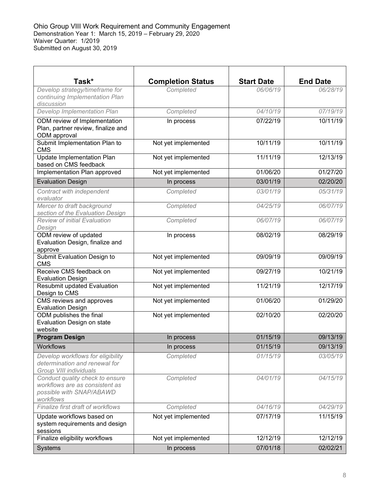| Task*                                                                                                      | <b>Completion Status</b> | <b>Start Date</b> | <b>End Date</b> |
|------------------------------------------------------------------------------------------------------------|--------------------------|-------------------|-----------------|
| Develop strategy/timeframe for<br>continuing Implementation Plan<br>discussion                             | Completed                | 06/06/19          | 06/28/19        |
| Develop Implementation Plan                                                                                | Completed                | 04/10/19          | 07/19/19        |
| ODM review of Implementation<br>Plan, partner review, finalize and<br>ODM approval                         | In process               | 07/22/19          | 10/11/19        |
| Submit Implementation Plan to<br><b>CMS</b>                                                                | Not yet implemented      | 10/11/19          | 10/11/19        |
| <b>Update Implementation Plan</b><br>based on CMS feedback                                                 | Not yet implemented      | 11/11/19          | 12/13/19        |
| Implementation Plan approved                                                                               | Not yet implemented      | 01/06/20          | 01/27/20        |
| <b>Evaluation Design</b>                                                                                   | In process               | 03/01/19          | 02/20/20        |
| Contract with independent<br>evaluator                                                                     | Completed                | 03/01/19          | 05/31/19        |
| Mercer to draft background<br>section of the Evaluation Design                                             | Completed                | 04/25/19          | 06/07/19        |
| <b>Review of initial Evaluation</b><br>Design                                                              | Completed                | 06/07/19          | 06/07/19        |
| ODM review of updated<br>Evaluation Design, finalize and<br>approve                                        | In process               | 08/02/19          | 08/29/19        |
| Submit Evaluation Design to<br><b>CMS</b>                                                                  | Not yet implemented      | 09/09/19          | 09/09/19        |
| Receive CMS feedback on<br><b>Evaluation Design</b>                                                        | Not yet implemented      | 09/27/19          | 10/21/19        |
| <b>Resubmit updated Evaluation</b><br>Design to CMS                                                        | Not yet implemented      | 11/21/19          | 12/17/19        |
| CMS reviews and approves<br><b>Evaluation Design</b>                                                       | Not yet implemented      | 01/06/20          | 01/29/20        |
| ODM publishes the final<br>Evaluation Design on state<br>website                                           | Not yet implemented      | 02/10/20          | 02/20/20        |
| <b>Program Design</b>                                                                                      | In process               | 01/15/19          | 09/13/19        |
| <b>Workflows</b>                                                                                           | In process               | 01/15/19          | 09/13/19        |
| Develop workflows for eligibility<br>determination and renewal for<br>Group VIII individuals               | Completed                | 01/15/19          | 03/05/19        |
| Conduct quality check to ensure<br>workflows are as consistent as<br>possible with SNAP/ABAWD<br>workflows | Completed                | 04/01/19          | 04/15/19        |
| Finalize first draft of workflows                                                                          | Completed                | 04/16/19          | 04/29/19        |
| Update workflows based on<br>system requirements and design<br>sessions                                    | Not yet implemented      | 07/17/19          | 11/15/19        |
| Finalize eligibility workflows                                                                             | Not yet implemented      | 12/12/19          | 12/12/19        |
| Systems                                                                                                    | In process               | 07/01/18          | 02/02/21        |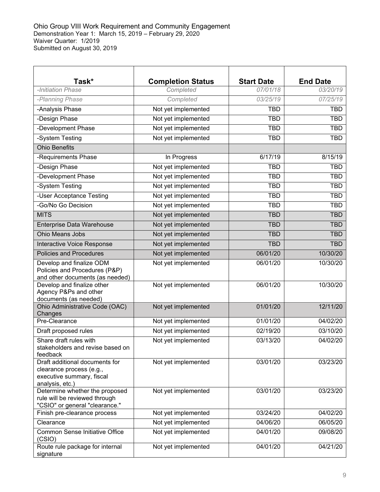| Task*                                                                                                      | <b>Completion Status</b> | <b>Start Date</b> | <b>End Date</b> |
|------------------------------------------------------------------------------------------------------------|--------------------------|-------------------|-----------------|
| -Initiation Phase                                                                                          | Completed                | 07/01/18          | 03/20/19        |
| -Planning Phase                                                                                            | Completed                | 03/25/19          | 07/25/19        |
| -Analysis Phase                                                                                            | Not yet implemented      | <b>TBD</b>        | <b>TBD</b>      |
| -Design Phase                                                                                              | Not yet implemented      | <b>TBD</b>        | <b>TBD</b>      |
| -Development Phase                                                                                         | Not yet implemented      | <b>TBD</b>        | <b>TBD</b>      |
| -System Testing                                                                                            | Not yet implemented      | <b>TBD</b>        | <b>TBD</b>      |
| <b>Ohio Benefits</b>                                                                                       |                          |                   |                 |
| -Requirements Phase                                                                                        | In Progress              | 6/17/19           | 8/15/19         |
| -Design Phase                                                                                              | Not yet implemented      | <b>TBD</b>        | <b>TBD</b>      |
| -Development Phase                                                                                         | Not yet implemented      | <b>TBD</b>        | <b>TBD</b>      |
| -System Testing                                                                                            | Not yet implemented      | <b>TBD</b>        | <b>TBD</b>      |
| -User Acceptance Testing                                                                                   | Not yet implemented      | <b>TBD</b>        | <b>TBD</b>      |
| -Go/No Go Decision                                                                                         | Not yet implemented      | <b>TBD</b>        | <b>TBD</b>      |
| <b>MITS</b>                                                                                                | Not yet implemented      | <b>TBD</b>        | <b>TBD</b>      |
| Enterprise Data Warehouse                                                                                  | Not yet implemented      | <b>TBD</b>        | <b>TBD</b>      |
| Ohio Means Jobs                                                                                            | Not yet implemented      | <b>TBD</b>        | <b>TBD</b>      |
| Interactive Voice Response                                                                                 | Not yet implemented      | <b>TBD</b>        | <b>TBD</b>      |
| <b>Policies and Procedures</b>                                                                             | Not yet implemented      | 06/01/20          | 10/30/20        |
| Develop and finalize ODM<br>Policies and Procedures (P&P)<br>and other documents (as needed)               | Not yet implemented      | 06/01/20          | 10/30/20        |
| Develop and finalize other<br>Agency P&Ps and other<br>documents (as needed)                               | Not yet implemented      | 06/01/20          | 10/30/20        |
| Ohio Administrative Code (OAC)<br>Changes                                                                  | Not yet implemented      | 01/01/20          | 12/11/20        |
| Pre-Clearance                                                                                              | Not yet implemented      | 01/01/20          | 04/02/20        |
| Draft proposed rules                                                                                       | Not yet implemented      | 02/19/20          | 03/10/20        |
| Share draft rules with<br>stakeholders and revise based on<br>feedback                                     | Not yet implemented      | 03/13/20          | 04/02/20        |
| Draft additional documents for<br>clearance process (e.g.,<br>executive summary, fiscal<br>analysis, etc.) | Not yet implemented      | 03/01/20          | 03/23/20        |
| Determine whether the proposed<br>rule will be reviewed through<br>"CSIO" or general "clearance."          | Not yet implemented      | 03/01/20          | 03/23/20        |
| Finish pre-clearance process                                                                               | Not yet implemented      | 03/24/20          | 04/02/20        |
| Clearance                                                                                                  | Not yet implemented      | 04/06/20          | 06/05/20        |
| <b>Common Sense Initiative Office</b><br>(CSIO)                                                            | Not yet implemented      | 04/01/20          | 09/08/20        |
| Route rule package for internal<br>signature                                                               | Not yet implemented      | 04/01/20          | 04/21/20        |